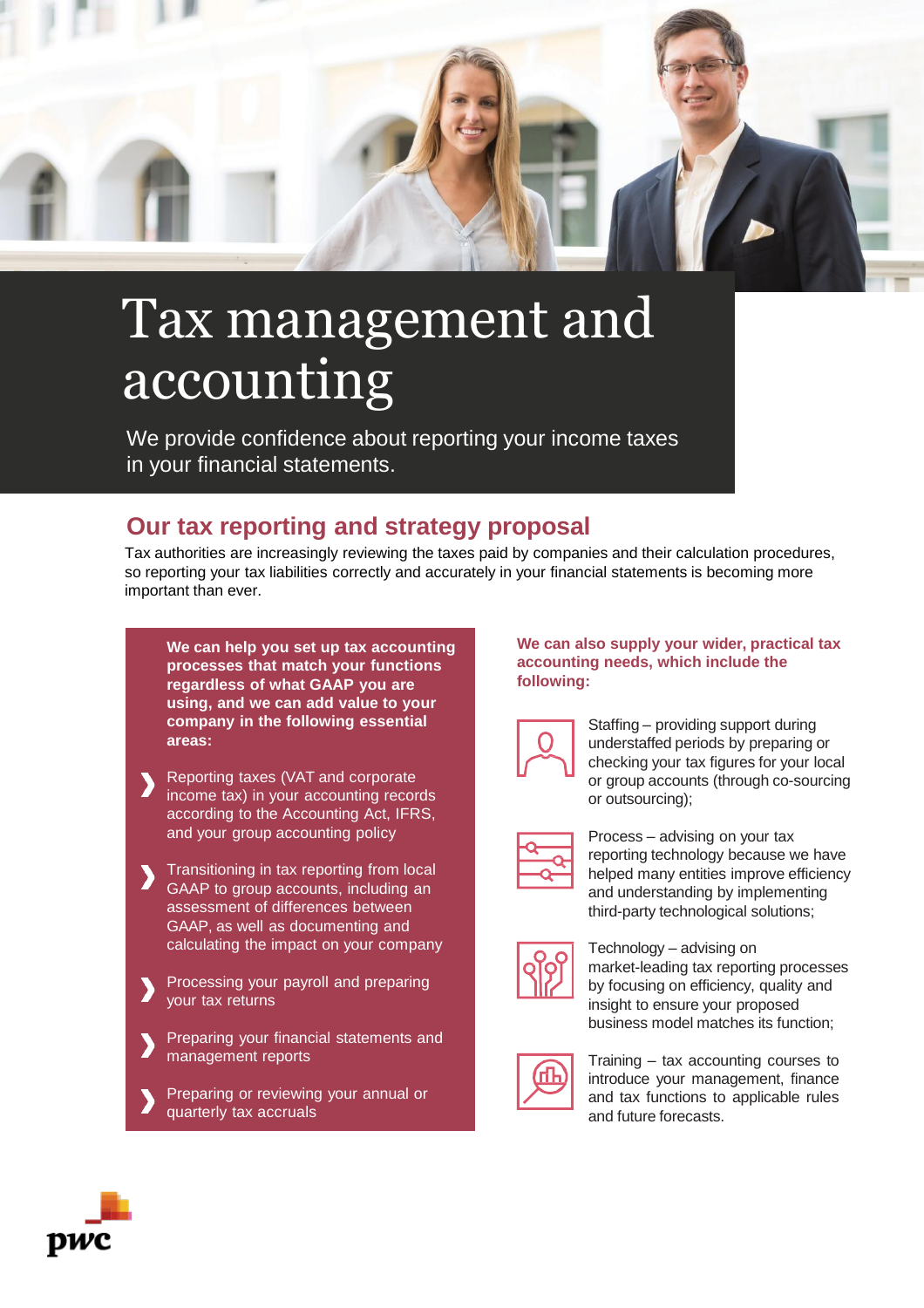

# Tax management and accounting

We provide confidence about reporting your income taxes in your financial statements.

## **Our tax reporting and strategy proposal**

Tax authorities are increasingly reviewing the taxes paid by companies and their calculation procedures, so reporting your tax liabilities correctly and accurately in your financial statements is becoming more important than ever.

**We can help you set up tax accounting processes that match your functions regardless of what GAAP you are using, and we can add value to your company in the following essential areas:**

- Reporting taxes (VAT and corporate income tax) in your accounting records according to the Accounting Act, IFRS, and your group accounting policy
- Transitioning in tax reporting from local GAAP to group accounts, including an assessment of differences between GAAP, as well as documenting and calculating the impact on your company
- Processing your payroll and preparing your tax returns
- Preparing your financial statements and management reports
- Preparing or reviewing your annual or quarterly tax accruals

#### **We can also supply your wider, practical tax accounting needs, which include the following:**



Staffing – providing support during understaffed periods by preparing or checking your tax figures for your local or group accounts (through co-sourcing or outsourcing);

| ______<br>_____ |
|-----------------|

Process – advising on your tax reporting technology because we have helped many entities improve efficiency and understanding by implementing third-party technological solutions;



Technology – advising on market-leading tax reporting processes by focusing on efficiency, quality and insight to ensure your proposed business model matches its function;



Training – tax accounting courses to introduce your management, finance and tax functions to applicable rules and future forecasts.